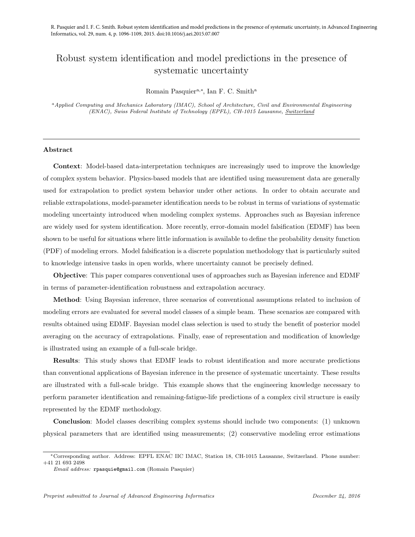# Robust system identification and model predictions in the presence of systematic uncertainty

Romain Pasquier<sup>a,∗</sup>, Ian F. C. Smith<sup>a</sup>

<sup>a</sup> Applied Computing and Mechanics Laboratory (IMAC), School of Architecture, Civil and Environmental Engineering (ENAC), Swiss Federal Institute of Technology (EPFL), CH-1015 Lausanne, Switzerland

#### Abstract

Context: Model-based data-interpretation techniques are increasingly used to improve the knowledge of complex system behavior. Physics-based models that are identified using measurement data are generally used for extrapolation to predict system behavior under other actions. In order to obtain accurate and reliable extrapolations, model-parameter identification needs to be robust in terms of variations of systematic modeling uncertainty introduced when modeling complex systems. Approaches such as Bayesian inference are widely used for system identification. More recently, error-domain model falsification (EDMF) has been shown to be useful for situations where little information is available to define the probability density function (PDF) of modeling errors. Model falsification is a discrete population methodology that is particularly suited to knowledge intensive tasks in open worlds, where uncertainty cannot be precisely defined.

Objective: This paper compares conventional uses of approaches such as Bayesian inference and EDMF in terms of parameter-identification robustness and extrapolation accuracy.

Method: Using Bayesian inference, three scenarios of conventional assumptions related to inclusion of modeling errors are evaluated for several model classes of a simple beam. These scenarios are compared with results obtained using EDMF. Bayesian model class selection is used to study the benefit of posterior model averaging on the accuracy of extrapolations. Finally, ease of representation and modification of knowledge is illustrated using an example of a full-scale bridge.

Results: This study shows that EDMF leads to robust identification and more accurate predictions than conventional applications of Bayesian inference in the presence of systematic uncertainty. These results are illustrated with a full-scale bridge. This example shows that the engineering knowledge necessary to perform parameter identification and remaining-fatigue-life predictions of a complex civil structure is easily represented by the EDMF methodology.

Conclusion: Model classes describing complex systems should include two components: (1) unknown physical parameters that are identified using measurements; (2) conservative modeling error estimations

<sup>∗</sup>Corresponding author. Address: EPFL ENAC IIC IMAC, Station 18, CH-1015 Lausanne, Switzerland. Phone number: +41 21 693 2498

Email address: rpasquie@gmail.com (Romain Pasquier)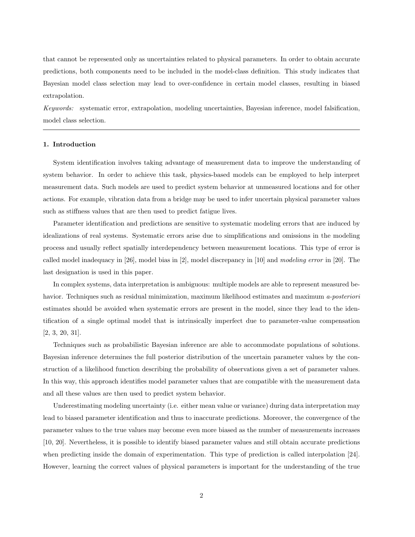that cannot be represented only as uncertainties related to physical parameters. In order to obtain accurate predictions, both components need to be included in the model-class definition. This study indicates that Bayesian model class selection may lead to over-confidence in certain model classes, resulting in biased extrapolation.

Keywords: systematic error, extrapolation, modeling uncertainties, Bayesian inference, model falsification, model class selection.

## 1. Introduction

System identification involves taking advantage of measurement data to improve the understanding of system behavior. In order to achieve this task, physics-based models can be employed to help interpret measurement data. Such models are used to predict system behavior at unmeasured locations and for other actions. For example, vibration data from a bridge may be used to infer uncertain physical parameter values such as stiffness values that are then used to predict fatigue lives.

Parameter identification and predictions are sensitive to systematic modeling errors that are induced by idealizations of real systems. Systematic errors arise due to simplifications and omissions in the modeling process and usually reflect spatially interdependency between measurement locations. This type of error is called model inadequacy in [26], model bias in [2], model discrepancy in [10] and modeling error in [20]. The last designation is used in this paper.

In complex systems, data interpretation is ambiguous: multiple models are able to represent measured behavior. Techniques such as residual minimization, maximum likelihood estimates and maximum a-posteriori estimates should be avoided when systematic errors are present in the model, since they lead to the identification of a single optimal model that is intrinsically imperfect due to parameter-value compensation [2, 3, 20, 31].

Techniques such as probabilistic Bayesian inference are able to accommodate populations of solutions. Bayesian inference determines the full posterior distribution of the uncertain parameter values by the construction of a likelihood function describing the probability of observations given a set of parameter values. In this way, this approach identifies model parameter values that are compatible with the measurement data and all these values are then used to predict system behavior.

Underestimating modeling uncertainty (i.e. either mean value or variance) during data interpretation may lead to biased parameter identification and thus to inaccurate predictions. Moreover, the convergence of the parameter values to the true values may become even more biased as the number of measurements increases [10, 20]. Nevertheless, it is possible to identify biased parameter values and still obtain accurate predictions when predicting inside the domain of experimentation. This type of prediction is called interpolation [24]. However, learning the correct values of physical parameters is important for the understanding of the true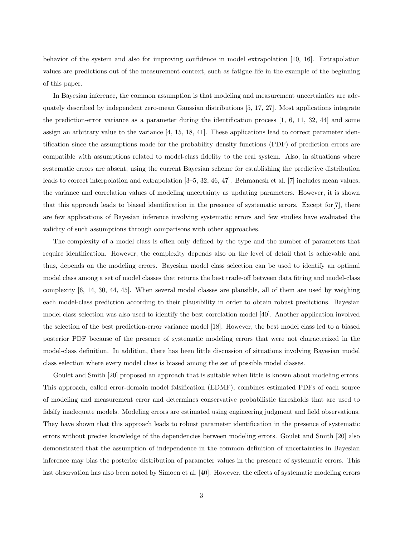behavior of the system and also for improving confidence in model extrapolation [10, 16]. Extrapolation values are predictions out of the measurement context, such as fatigue life in the example of the beginning of this paper.

In Bayesian inference, the common assumption is that modeling and measurement uncertainties are adequately described by independent zero-mean Gaussian distributions [5, 17, 27]. Most applications integrate the prediction-error variance as a parameter during the identification process [1, 6, 11, 32, 44] and some assign an arbitrary value to the variance [4, 15, 18, 41]. These applications lead to correct parameter identification since the assumptions made for the probability density functions (PDF) of prediction errors are compatible with assumptions related to model-class fidelity to the real system. Also, in situations where systematic errors are absent, using the current Bayesian scheme for establishing the predictive distribution leads to correct interpolation and extrapolation [3–5, 32, 46, 47]. Behmanesh et al. [7] includes mean values, the variance and correlation values of modeling uncertainty as updating parameters. However, it is shown that this approach leads to biased identification in the presence of systematic errors. Except for[7], there are few applications of Bayesian inference involving systematic errors and few studies have evaluated the validity of such assumptions through comparisons with other approaches.

The complexity of a model class is often only defined by the type and the number of parameters that require identification. However, the complexity depends also on the level of detail that is achievable and thus, depends on the modeling errors. Bayesian model class selection can be used to identify an optimal model class among a set of model classes that returns the best trade-off between data fitting and model-class complexity [6, 14, 30, 44, 45]. When several model classes are plausible, all of them are used by weighing each model-class prediction according to their plausibility in order to obtain robust predictions. Bayesian model class selection was also used to identify the best correlation model [40]. Another application involved the selection of the best prediction-error variance model [18]. However, the best model class led to a biased posterior PDF because of the presence of systematic modeling errors that were not characterized in the model-class definition. In addition, there has been little discussion of situations involving Bayesian model class selection where every model class is biased among the set of possible model classes.

Goulet and Smith [20] proposed an approach that is suitable when little is known about modeling errors. This approach, called error-domain model falsification (EDMF), combines estimated PDFs of each source of modeling and measurement error and determines conservative probabilistic thresholds that are used to falsify inadequate models. Modeling errors are estimated using engineering judgment and field observations. They have shown that this approach leads to robust parameter identification in the presence of systematic errors without precise knowledge of the dependencies between modeling errors. Goulet and Smith [20] also demonstrated that the assumption of independence in the common definition of uncertainties in Bayesian inference may bias the posterior distribution of parameter values in the presence of systematic errors. This last observation has also been noted by Simoen et al. [40]. However, the effects of systematic modeling errors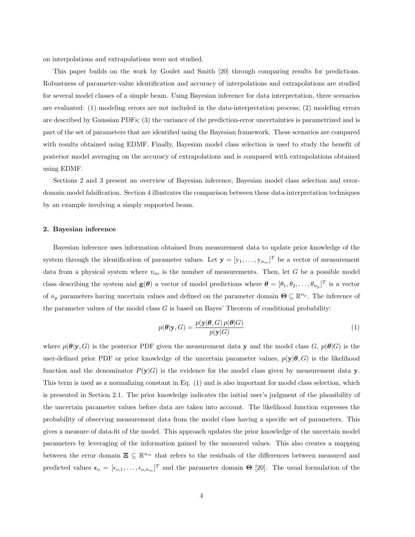on interpolations and extrapolations were not studied.

This paper builds on the work by Goulet and Smith [20] through comparing results for predictions. Robustness of parameter-value identification and accuracy of interpolations and extrapolations are studied for several model classes of a simple beam. Using Bayesian inference for data interpretation, three scenarios are evaluated: (1) modeling errors are not included in the data-interpretation process; (2) modeling errors are described by Gaussian PDFs; (3) the variance of the prediction-error uncertainties is parametrized and is part of the set of parameters that are identified using the Bayesian framework. These scenarios are compared with results obtained using EDMF. Finally, Bayesian model class selection is used to study the benefit of posterior model averaging on the accuracy of extrapolations and is compared with extrapolations obtained using EDMF.

Sections 2 and 3 present an overview of Bayesian inference, Bayesian model class selection and errordomain model falsification. Section 4 illustrates the comparison between these data-interpretation techniques by an example involving a simply supported beam.

## 2. Bayesian inference

Bayesian inference uses information obtained from measurement data to update prior knowledge of the system through the identification of parameter values. Let  $\mathbf{y} = [y_1, \ldots, y_{n_m}]^T$  be a vector of measurement data from a physical system where  $n_m$  is the number of measurements. Then, let G be a possible model class describing the system and  $\mathbf{g}(\theta)$  a vector of model predictions where  $\theta = [\theta_1, \theta_2, \dots, \theta_{n_p}]^T$  is a vector of  $n_p$  parameters having uncertain values and defined on the parameter domain  $\Theta \subseteq \mathbb{R}^{n_p}$ . The inference of the parameter values of the model class  $G$  is based on Bayes' Theorem of conditional probability:

$$
p(\theta | \mathbf{y}, G) = \frac{p(\mathbf{y} | \theta, G) p(\theta | G)}{p(\mathbf{y} | G)}
$$
(1)

where  $p(\theta|\mathbf{y}, G)$  is the posterior PDF given the measurement data y and the model class G,  $p(\theta|G)$  is the user-defined prior PDF or prior knowledge of the uncertain parameter values,  $p(\mathbf{y}|\boldsymbol{\theta}, G)$  is the likelihood function and the denominator  $P(y|G)$  is the evidence for the model class given by measurement data y. This term is used as a normalizing constant in Eq. (1) and is also important for model class selection, which is presented in Section 2.1. The prior knowledge indicates the initial user's judgment of the plausibility of the uncertain parameter values before data are taken into account. The likelihood function expresses the probability of observing measurement data from the model class having a specific set of parameters. This gives a measure of data-fit of the model. This approach updates the prior knowledge of the uncertain model parameters by leveraging of the information gained by the measured values. This also creates a mapping between the error domain  $\Xi \subseteq \mathbb{R}^{n_m}$  that refers to the residuals of the differences between measured and predicted values  $\epsilon_{\text{o}} = [\epsilon_{\text{o},1}, \ldots, \epsilon_{\text{o},n_m}]^T$  and the parameter domain  $\Theta$  [20]. The usual formulation of the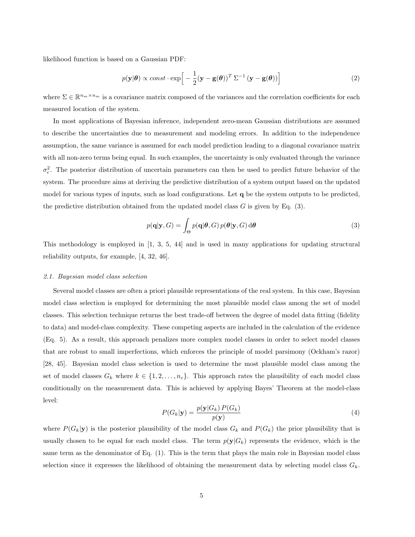likelihood function is based on a Gaussian PDF:

$$
p(\mathbf{y}|\boldsymbol{\theta}) \propto const \cdot \exp\left[-\frac{1}{2}(\mathbf{y} - \mathbf{g}(\boldsymbol{\theta}))^T \Sigma^{-1} (\mathbf{y} - \mathbf{g}(\boldsymbol{\theta}))\right]
$$
(2)

where  $\Sigma \in \mathbb{R}^{n_m \times n_m}$  is a covariance matrix composed of the variances and the correlation coefficients for each measured location of the system.

In most applications of Bayesian inference, independent zero-mean Gaussian distributions are assumed to describe the uncertainties due to measurement and modeling errors. In addition to the independence assumption, the same variance is assumed for each model prediction leading to a diagonal covariance matrix with all non-zero terms being equal. In such examples, the uncertainty is only evaluated through the variance  $\sigma_{\epsilon}^{2}$ . The posterior distribution of uncertain parameters can then be used to predict future behavior of the system. The procedure aims at deriving the predictive distribution of a system output based on the updated model for various types of inputs, such as load configurations. Let q be the system outputs to be predicted, the predictive distribution obtained from the updated model class  $G$  is given by Eq. (3).

$$
p(\mathbf{q}|\mathbf{y}, G) = \int_{\Theta} p(\mathbf{q}|\boldsymbol{\theta}, G) p(\boldsymbol{\theta}|\mathbf{y}, G) d\boldsymbol{\theta}
$$
\n(3)

This methodology is employed in [1, 3, 5, 44] and is used in many applications for updating structural reliability outputs, for example, [4, 32, 46].

#### 2.1. Bayesian model class selection

Several model classes are often a priori plausible representations of the real system. In this case, Bayesian model class selection is employed for determining the most plausible model class among the set of model classes. This selection technique returns the best trade-off between the degree of model data fitting (fidelity to data) and model-class complexity. These competing aspects are included in the calculation of the evidence (Eq. 5). As a result, this approach penalizes more complex model classes in order to select model classes that are robust to small imperfections, which enforces the principle of model parsimony (Ockham's razor) [28, 45]. Bayesian model class selection is used to determine the most plausible model class among the set of model classes  $G_k$  where  $k \in \{1, 2, ..., n_c\}$ . This approach rates the plausibility of each model class conditionally on the measurement data. This is achieved by applying Bayes' Theorem at the model-class level:

$$
P(G_k|\mathbf{y}) = \frac{p(\mathbf{y}|G_k) P(G_k)}{p(\mathbf{y})}
$$
\n<sup>(4)</sup>

where  $P(G_k|\mathbf{y})$  is the posterior plausibility of the model class  $G_k$  and  $P(G_k)$  the prior plausibility that is usually chosen to be equal for each model class. The term  $p(y|G_k)$  represents the evidence, which is the same term as the denominator of Eq. (1). This is the term that plays the main role in Bayesian model class selection since it expresses the likelihood of obtaining the measurement data by selecting model class  $G_k$ .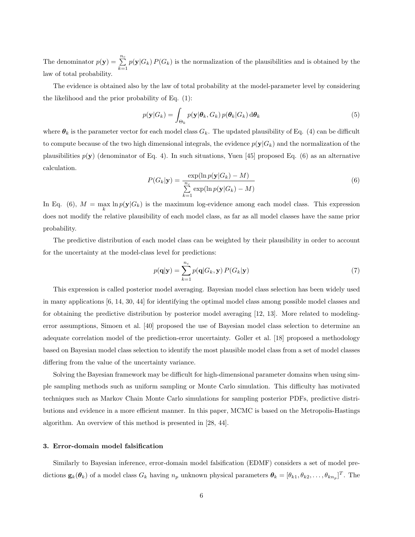The denominator  $p(\mathbf{y}) = \sum_{n=1}^{n_c}$  $\sum_{k=1} p(\mathbf{y}|G_k) P(G_k)$  is the normalization of the plausibilities and is obtained by the law of total probability.

The evidence is obtained also by the law of total probability at the model-parameter level by considering the likelihood and the prior probability of Eq. (1):

$$
p(\mathbf{y}|G_k) = \int_{\Theta_k} p(\mathbf{y}|\boldsymbol{\theta}_k, G_k) p(\boldsymbol{\theta}_k|G_k) d\boldsymbol{\theta}_k
$$
\n(5)

where  $\theta_k$  is the parameter vector for each model class  $G_k$ . The updated plausibility of Eq. (4) can be difficult to compute because of the two high dimensional integrals, the evidence  $p(y|G_k)$  and the normalization of the plausibilities  $p(\mathbf{y})$  (denominator of Eq. 4). In such situations, Yuen [45] proposed Eq. (6) as an alternative calculation.

$$
P(G_k|\mathbf{y}) = \frac{\exp(\ln p(\mathbf{y}|G_k) - M)}{\sum_{k=1}^{n_c} \exp(\ln p(\mathbf{y}|G_k) - M)}
$$
(6)

In Eq. (6),  $M = \max_{k} \ln p(\mathbf{y}|G_k)$  is the maximum log-evidence among each model class. This expression does not modify the relative plausibility of each model class, as far as all model classes have the same prior probability.

The predictive distribution of each model class can be weighted by their plausibility in order to account for the uncertainty at the model-class level for predictions:

$$
p(\mathbf{q}|\mathbf{y}) = \sum_{k=1}^{n_c} p(\mathbf{q}|G_k, \mathbf{y}) P(G_k|\mathbf{y})
$$
\n(7)

This expression is called posterior model averaging. Bayesian model class selection has been widely used in many applications [6, 14, 30, 44] for identifying the optimal model class among possible model classes and for obtaining the predictive distribution by posterior model averaging [12, 13]. More related to modelingerror assumptions, Simoen et al. [40] proposed the use of Bayesian model class selection to determine an adequate correlation model of the prediction-error uncertainty. Goller et al. [18] proposed a methodology based on Bayesian model class selection to identify the most plausible model class from a set of model classes differing from the value of the uncertainty variance.

Solving the Bayesian framework may be difficult for high-dimensional parameter domains when using simple sampling methods such as uniform sampling or Monte Carlo simulation. This difficulty has motivated techniques such as Markov Chain Monte Carlo simulations for sampling posterior PDFs, predictive distributions and evidence in a more efficient manner. In this paper, MCMC is based on the Metropolis-Hastings algorithm. An overview of this method is presented in [28, 44].

## 3. Error-domain model falsification

Similarly to Bayesian inference, error-domain model falsification (EDMF) considers a set of model predictions  $\mathbf{g}_k(\theta_k)$  of a model class  $G_k$  having  $n_p$  unknown physical parameters  $\theta_k = [\theta_{k1}, \theta_{k2}, \dots, \theta_{kn_p}]^T$ . The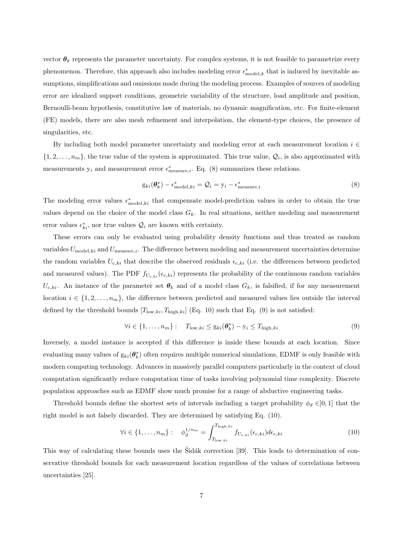vector  $\theta_k$  represents the parameter uncertainty. For complex systems, it is not feasible to parametrize every phenomenon. Therefore, this approach also includes modeling error  $\epsilon_{\text{model},k}^*$  that is induced by inevitable assumptions, simplifications and omissions made during the modeling process. Examples of sources of modeling error are idealized support conditions, geometric variability of the structure, load amplitude and position, Bernoulli-beam hypothesis, constitutive law of materials, no dynamic magnification, etc. For finite-element (FE) models, there are also mesh refinement and interpolation, the element-type choices, the presence of singularities, etc.

By including both model parameter uncertainty and modeling error at each measurement location  $i \in$  $\{1, 2, \ldots, n_m\}$ , the true value of the system is approximated. This true value,  $\mathcal{Q}_i$ , is also approximated with measurements  $y_i$  and measurement error  $\epsilon_{\text{measure},i}^*$ . Eq. (8) summarizes these relations.

$$
g_{ki}(\boldsymbol{\theta}_k^*) - \epsilon_{\text{model},ki}^* = \mathcal{Q}_i = y_i - \epsilon_{\text{measure},i}^* \tag{8}
$$

The modeling error values  $\epsilon_{\text{model},ki}^*$  that compensate model-prediction values in order to obtain the true values depend on the choice of the model class  $G_k$ . In real situations, neither modeling and measurement error values  $\epsilon_{ki}^*$ , nor true values  $\mathcal{Q}_i$  are known with certainty.

These errors can only be evaluated using probability density functions and thus treated as random variables  $U_{\text{model},ki}$  and  $U_{\text{measure},i}$ . The difference between modeling and measurement uncertainties determine the random variables  $U_{c,ki}$  that describe the observed residuals  $\epsilon_{c,ki}$  (i.e. the differences between predicted and measured values). The PDF  $f_{U_{c,ki}}(\epsilon_{c,ki})$  represents the probability of the continuous random variables  $U_{c,ki}$ . An instance of the parameter set  $\theta_k$  and of a model class  $G_k$ , is falsified, if for any measurement location  $i \in \{1, 2, \ldots, n_m\}$ , the difference between predicted and measured values lies outside the interval defined by the threshold bounds  $[T_{\text{low},ki}, T_{\text{high},ki}]$  (Eq. 10) such that Eq. (9) is not satisfied:

$$
\forall i \in \{1, \dots, n_m\} : T_{\text{low},ki} \leq g_{ki}(\boldsymbol{\theta}_k^*) - y_i \leq T_{\text{high},ki} \tag{9}
$$

Inversely, a model instance is accepted if this difference is inside these bounds at each location. Since evaluating many values of  $g_{ki}(\theta_k^*)$  often requires multiple numerical simulations, EDMF is only feasible with modern computing technology. Advances in massively parallel computers particularly in the context of cloud computation significantly reduce computation time of tasks involving polynomial time complexity. Discrete population approaches such as EDMF show much promise for a range of abductive engineering tasks.

Threshold bounds define the shortest sets of intervals including a target probability  $\phi_d \in ]0,1]$  that the right model is not falsely discarded. They are determined by satisfying Eq. (10).

$$
\forall i \in \{1, \dots, n_m\} : \quad \phi_d^{1/n_m} = \int_{T_{\text{low},ki}}^{T_{\text{high},ki}} f_{U_{\text{c},ki}}(\epsilon_{\text{c},ki}) d\epsilon_{\text{c},ki} \tag{10}
$$

This way of calculating these bounds uses the Sidák correction [39]. This leads to determination of conservative threshold bounds for each measurement location regardless of the values of correlations between uncertainties [25].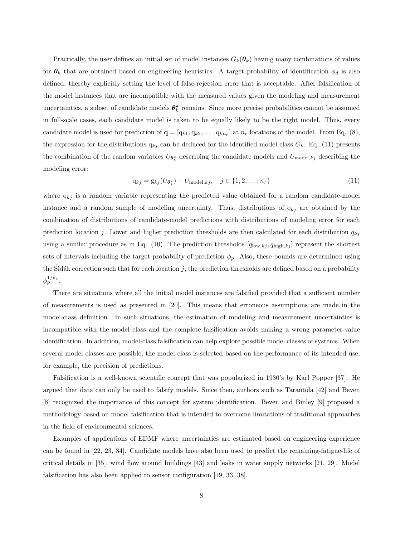Practically, the user defines an initial set of model instances  $G_k(\theta_k)$  having many combinations of values for  $\theta_k$  that are obtained based on engineering heuristics. A target probability of identification  $\phi_d$  is also defined, thereby explicitly setting the level of false-rejection error that is acceptable. After falsification of the model instances that are incompatible with the measured values given the modeling and measurement uncertainties, a subset of candidate models  $\theta_k^*$  remains. Since more precise probabilities cannot be assumed in full-scale cases, each candidate model is taken to be equally likely to be the right model. Thus, every candidate model is used for prediction of  $\mathbf{q} = [q_{k1}, q_{k2}, \dots, q_{kn_r}]$  at  $n_r$  locations of the model. From Eq. (8), the expression for the distributions  $q_{kj}$  can be deduced for the identified model class  $G_k$ . Eq. (11) presents the combination of the random variables  $U_{\theta_k^*}$  describing the candidate models and  $U_{\text{model},kj}$  describing the modeling error:

$$
q_{kj} = g_{kj}(U_{\theta_k^*}) - U_{\text{model},kj}, \quad j \in \{1, 2, \dots, n_r\}
$$
\n(11)

where  $q_{kj}$  is a random variable representing the predicted value obtained for a random candidate-model instance and a random sample of modeling uncertainty. Thus, distributions of  $q_{kj}$  are obtained by the combination of distributions of candidate-model predictions with distributions of modeling error for each prediction location j. Lower and higher prediction thresholds are then calculated for each distribution  $q_{kj}$ using a similar procedure as in Eq. (10). The prediction thresholds  $[q_{\text{low},kj}, q_{\text{high},kj}]$  represent the shortest sets of intervals including the target probability of prediction  $\phi_p$ . Also, these bounds are determined using the Sidák correction such that for each location  $j$ , the prediction thresholds are defined based on a probability  $\phi_p^{1/n_r}.$ 

There are situations where all the initial model instances are falsified provided that a sufficient number of measurements is used as presented in [20]. This means that erroneous assumptions are made in the model-class definition. In such situations, the estimation of modeling and measurement uncertainties is incompatible with the model class and the complete falsification avoids making a wrong parameter-value identification. In addition, model-class falsification can help explore possible model classes of systems. When several model classes are possible, the model class is selected based on the performance of its intended use, for example, the precision of predictions.

Falsification is a well-known scientific concept that was popularized in 1930's by Karl Popper [37]. He argued that data can only be used to falsify models. Since then, authors such as Tarantola [42] and Beven [8] recognized the importance of this concept for system identification. Beven and Binley [9] proposed a methodology based on model falsification that is intended to overcome limitations of traditional approaches in the field of environmental sciences.

Examples of applications of EDMF where uncertainties are estimated based on engineering experience can be found in [22, 23, 34]. Candidate models have also been used to predict the remaining-fatigue-life of critical details in [35], wind flow around buildings [43] and leaks in water supply networks [21, 29]. Model falsification has also been applied to sensor configuration [19, 33, 38].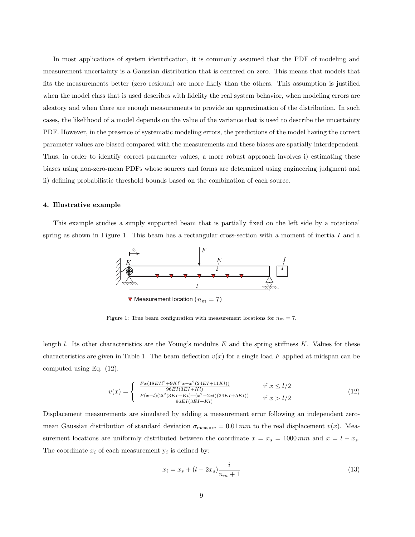In most applications of system identification, it is commonly assumed that the PDF of modeling and measurement uncertainty is a Gaussian distribution that is centered on zero. This means that models that fits the measurements better (zero residual) are more likely than the others. This assumption is justified when the model class that is used describes with fidelity the real system behavior, when modeling errors are aleatory and when there are enough measurements to provide an approximation of the distribution. In such cases, the likelihood of a model depends on the value of the variance that is used to describe the uncertainty PDF. However, in the presence of systematic modeling errors, the predictions of the model having the correct parameter values are biased compared with the measurements and these biases are spatially interdependent. Thus, in order to identify correct parameter values, a more robust approach involves i) estimating these biases using non-zero-mean PDFs whose sources and forms are determined using engineering judgment and ii) defining probabilistic threshold bounds based on the combination of each source.

#### 4. Illustrative example

This example studies a simply supported beam that is partially fixed on the left side by a rotational spring as shown in Figure 1. This beam has a rectangular cross-section with a moment of inertia  $I$  and a



Figure 1: True beam configuration with measurement locations for  $n_m = 7$ .

length  $l$ . Its other characteristics are the Young's modulus  $E$  and the spring stiffness  $K$ . Values for these characteristics are given in Table 1. The beam deflection  $v(x)$  for a single load F applied at midspan can be computed using Eq. (12).

$$
v(x) = \begin{cases} \frac{Fx(18EI^2 + 9Kl^2x - x^2(24EI + 11Kl))}{96EI(3EI + Kl)} & \text{if } x \le l/2\\ \frac{F(x-l)(2l^2(3EI + Kl) + (x^2 - 2xl)(24EI + 5Kl))}{96EI(3EI + Kl)} & \text{if } x > l/2 \end{cases}
$$
(12)

Displacement measurements are simulated by adding a measurement error following an independent zeromean Gaussian distribution of standard deviation  $\sigma_{\text{measure}} = 0.01 \, \text{mm}$  to the real displacement  $v(x)$ . Measurement locations are uniformly distributed between the coordinate  $x = x_s = 1000 \, \text{mm}$  and  $x = l - x_s$ . The coordinate  $x_i$  of each measurement  $y_i$  is defined by:

$$
x_i = x_s + (l - 2x_s) \frac{i}{n_m + 1}
$$
\n(13)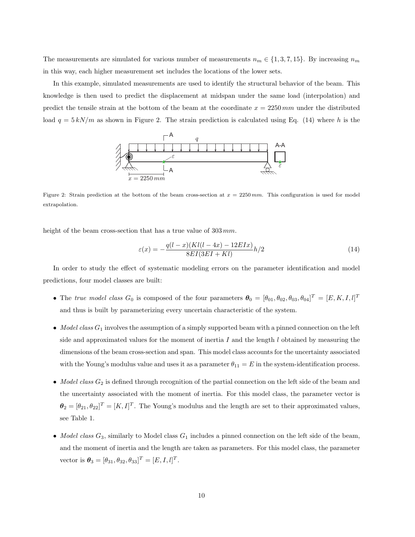The measurements are simulated for various number of measurements  $n_m \in \{1, 3, 7, 15\}$ . By increasing  $n_m$ in this way, each higher measurement set includes the locations of the lower sets.

In this example, simulated measurements are used to identify the structural behavior of the beam. This knowledge is then used to predict the displacement at midspan under the same load (interpolation) and predict the tensile strain at the bottom of the beam at the coordinate  $x = 2250 \, mm$  under the distributed load  $q = 5 kN/m$  as shown in Figure 2. The strain prediction is calculated using Eq. (14) where h is the



Figure 2: Strain prediction at the bottom of the beam cross-section at  $x = 2250 \, mm$ . This configuration is used for model extrapolation.

height of the beam cross-section that has a true value of  $303 \, mm$ .

$$
\varepsilon(x) = -\frac{q(l-x)(Kl(l-4x) - 12EIx)}{8EI(3EI+Kl)}h/2\tag{14}
$$

In order to study the effect of systematic modeling errors on the parameter identification and model predictions, four model classes are built:

- The true model class  $G_0$  is composed of the four parameters  $\boldsymbol{\theta}_0 = [\theta_{01}, \theta_{02}, \theta_{03}, \theta_{04}]^T = [E, K, I, l]^T$ and thus is built by parameterizing every uncertain characteristic of the system.
- Model class  $G_1$  involves the assumption of a simply supported beam with a pinned connection on the left side and approximated values for the moment of inertia I and the length  $l$  obtained by measuring the dimensions of the beam cross-section and span. This model class accounts for the uncertainty associated with the Young's modulus value and uses it as a parameter  $\theta_{11} = E$  in the system-identification process.
- Model class  $G_2$  is defined through recognition of the partial connection on the left side of the beam and the uncertainty associated with the moment of inertia. For this model class, the parameter vector is  $\boldsymbol{\theta}_2 = [\theta_{21}, \theta_{22}]^T = [K, I]^T$ . The Young's modulus and the length are set to their approximated values, see Table 1.
- Model class  $G_3$ , similarly to Model class  $G_1$  includes a pinned connection on the left side of the beam, and the moment of inertia and the length are taken as parameters. For this model class, the parameter vector is  $\theta_3 = [\theta_{31}, \theta_{32}, \theta_{33}]^T = [E, I, l]^T$ .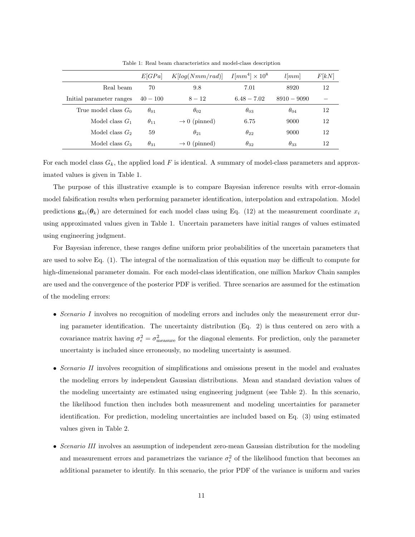|                          | E[GPa]        | K[log(Nmm/rad)]          | $I/mm^4] \times 10^8$ | $l$ [ <i>mm</i> ] | F[kN] |
|--------------------------|---------------|--------------------------|-----------------------|-------------------|-------|
| Real beam                | 70            | 9.8                      | 7.01                  | 8920              | 12    |
| Initial parameter ranges | $40 - 100$    | $8 - 12$                 | $6.48 - 7.02$         | $8910 - 9090$     |       |
| True model class $G_0$   | $\theta_{01}$ | $\theta_{02}$            | $\theta_{03}$         | $\theta_{04}$     | 12    |
| Model class $G_1$        | $\theta_{11}$ | $\rightarrow 0$ (pinned) | 6.75                  | 9000              | 12    |
| Model class $G_2$        | 59            | $\theta_{21}$            | $\theta_{22}$         | 9000              | 12    |
| Model class $G_3$        | $\theta_{31}$ | $\rightarrow 0$ (pinned) | $\theta_{32}$         | $\theta_{33}$     | 12    |

Table 1: Real beam characteristics and model-class description

For each model class  $G_k$ , the applied load F is identical. A summary of model-class parameters and approximated values is given in Table 1.

The purpose of this illustrative example is to compare Bayesian inference results with error-domain model falsification results when performing parameter identification, interpolation and extrapolation. Model predictions  $\mathbf{g}_{ki}(\theta_k)$  are determined for each model class using Eq. (12) at the measurement coordinate  $x_i$ using approximated values given in Table 1. Uncertain parameters have initial ranges of values estimated using engineering judgment.

For Bayesian inference, these ranges define uniform prior probabilities of the uncertain parameters that are used to solve Eq. (1). The integral of the normalization of this equation may be difficult to compute for high-dimensional parameter domain. For each model-class identification, one million Markov Chain samples are used and the convergence of the posterior PDF is verified. Three scenarios are assumed for the estimation of the modeling errors:

- Scenario I involves no recognition of modeling errors and includes only the measurement error during parameter identification. The uncertainty distribution (Eq. 2) is thus centered on zero with a covariance matrix having  $\sigma_{\epsilon}^2 = \sigma_{\text{measure}}^2$  for the diagonal elements. For prediction, only the parameter uncertainty is included since erroneously, no modeling uncertainty is assumed.
- Scenario II involves recognition of simplifications and omissions present in the model and evaluates the modeling errors by independent Gaussian distributions. Mean and standard deviation values of the modeling uncertainty are estimated using engineering judgment (see Table 2). In this scenario, the likelihood function then includes both measurement and modeling uncertainties for parameter identification. For prediction, modeling uncertainties are included based on Eq. (3) using estimated values given in Table 2.
- Scenario III involves an assumption of independent zero-mean Gaussian distribution for the modeling and measurement errors and parametrizes the variance  $\sigma_{\epsilon}^2$  of the likelihood function that becomes an additional parameter to identify. In this scenario, the prior PDF of the variance is uniform and varies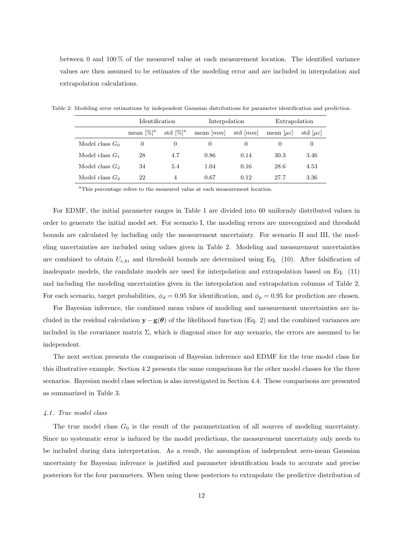between 0 and  $100\%$  of the measured value at each measurement location. The identified variance values are then assumed to be estimates of the modeling error and are included in interpolation and extrapolation calculations.

|                   | Identification           |                         | Interpolation            |                   | Extrapolation            |                         |  |  |  |
|-------------------|--------------------------|-------------------------|--------------------------|-------------------|--------------------------|-------------------------|--|--|--|
|                   | mean $[\%]$ <sup>a</sup> | std $[\%]$ <sup>a</sup> | mean $\left  mm \right $ | std [ <i>mm</i> ] | mean $ \mu \varepsilon $ | std $ \mu \varepsilon $ |  |  |  |
| Model class $G_0$ | $\overline{0}$           | $\theta$                | 0                        | $\theta$          | $\theta$                 | $\theta$                |  |  |  |
| Model class $G_1$ | 28                       | 4.7                     | 0.86                     | 0.14              | 30.3                     | 3.46                    |  |  |  |
| Model class $G_2$ | 34                       | 5.4                     | 1.04                     | 0.16              | 28.6                     | 4.53                    |  |  |  |
| Model class $G_3$ | 22                       | 4                       | 0.67                     | 0.12              | 27.7                     | 3.36                    |  |  |  |

Table 2: Modeling error estimations by independent Gaussian distributions for parameter identification and prediction.

<sup>a</sup>This percentage refers to the measured value at each measurement location.

For EDMF, the initial parameter ranges in Table 1 are divided into 60 uniformly distributed values in order to generate the initial model set. For scenario I, the modeling errors are unrecognized and threshold bounds are calculated by including only the measurement uncertainty. For scenario II and III, the modeling uncertainties are included using values given in Table 2. Modeling and measurement uncertainties are combined to obtain  $U_{c,ki}$  and threshold bounds are determined using Eq. (10). After falsification of inadequate models, the candidate models are used for interpolation and extrapolation based on Eq. (11) and including the modeling uncertainties given in the interpolation and extrapolation columns of Table 2. For each scenario, target probabilities,  $\phi_d = 0.95$  for identification, and  $\phi_p = 0.95$  for prediction are chosen.

For Bayesian inference, the combined mean values of modeling and measurement uncertainties are included in the residual calculation  $y - g(\theta)$  of the likelihood function (Eq. 2) and the combined variances are included in the covariance matrix  $\Sigma$ , which is diagonal since for any scenario, the errors are assumed to be independent.

The next section presents the comparison of Bayesian inference and EDMF for the true model class for this illustrative example. Section 4.2 presents the same comparisons for the other model classes for the three scenarios. Bayesian model class selection is also investigated in Section 4.4. These comparisons are presented as summarized in Table 3.

#### 4.1. True model class

The true model class  $G_0$  is the result of the parametrization of all sources of modeling uncertainty. Since no systematic error is induced by the model predictions, the measurement uncertainty only needs to be included during data interpretation. As a result, the assumption of independent zero-mean Gaussian uncertainty for Bayesian inference is justified and parameter identification leads to accurate and precise posteriors for the four parameters. When using these posteriors to extrapolate the predictive distribution of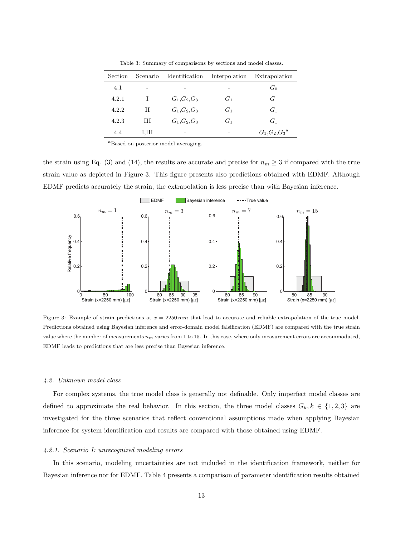| Section | Scenario | Identification  | Interpolation | Extrapolation                |
|---------|----------|-----------------|---------------|------------------------------|
| 4.1     | -        | -               | -             | $G_0$                        |
| 4.2.1   |          | $G_1, G_2, G_3$ | $G_1$         | $G_1$                        |
| 4.2.2   | H        | $G_1, G_2, G_3$ | $G_1$         | $G_1$                        |
| 4.2.3   | HІ       | $G_1, G_2, G_3$ | $G_1$         | $G_1$                        |
| 4.4     | I.III    |                 |               | $G_1, G_2, G_3$ <sup>a</sup> |

Table 3: Summary of comparisons by sections and model classes.

<sup>a</sup>Based on posterior model averaging.

the strain using Eq. (3) and (14), the results are accurate and precise for  $n_m \geq 3$  if compared with the true strain value as depicted in Figure 3. This figure presents also predictions obtained with EDMF. Although EDMF predicts accurately the strain, the extrapolation is less precise than with Bayesian inference.



Figure 3: Example of strain predictions at  $x = 2250 \, mm$  that lead to accurate and reliable extrapolation of the true model. Predictions obtained using Bayesian inference and error-domain model falsification (EDMF) are compared with the true strain value where the number of measurements  $n_m$  varies from 1 to 15. In this case, where only measurement errors are accommodated, EDMF leads to predictions that are less precise than Bayesian inference.

#### 4.2. Unknown model class

For complex systems, the true model class is generally not definable. Only imperfect model classes are defined to approximate the real behavior. In this section, the three model classes  $G_k, k \in \{1, 2, 3\}$  are investigated for the three scenarios that reflect conventional assumptions made when applying Bayesian inference for system identification and results are compared with those obtained using EDMF.

## 4.2.1. Scenario I: unrecognized modeling errors

In this scenario, modeling uncertainties are not included in the identification framework, neither for Bayesian inference nor for EDMF. Table 4 presents a comparison of parameter identification results obtained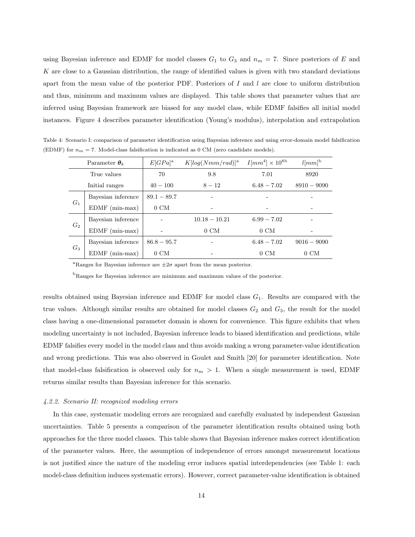using Bayesian inference and EDMF for model classes  $G_1$  to  $G_3$  and  $n_m = 7$ . Since posteriors of E and K are close to a Gaussian distribution, the range of identified values is given with two standard deviations apart from the mean value of the posterior PDF. Posteriors of  $I$  and  $l$  are close to uniform distribution and thus, minimum and maximum values are displayed. This table shows that parameter values that are inferred using Bayesian framework are biased for any model class, while EDMF falsifies all initial model instances. Figure 4 describes parameter identification (Young's modulus), interpolation and extrapolation

|                | Parameter $\theta_k$       | $E[GPa]^a$     | $K[log(Nmm/rad)]^{\rm a}$ | $I/mm^4] \times 10^{8b}$ | $l/mm$ <sup>b</sup> |
|----------------|----------------------------|----------------|---------------------------|--------------------------|---------------------|
| True values    |                            | 70             | 9.8                       | 7.01                     | 8920                |
| Initial ranges |                            | $40 - 100$     | $8 - 12$                  | $6.48 - 7.02$            | $8910 - 9090$       |
|                | Bayesian inference         | $89.1 - 89.7$  |                           |                          |                     |
| $G_1$          | $EDMF$ (min-max)           | $0 \text{ CM}$ |                           | -                        | -                   |
|                | Bayesian inference         |                | $10.18 - 10.21$           | $6.99 - 7.02$            |                     |
| $G_2$          | $EDMF$ (min-max)           |                | $0 \text{ CM}$            | $0 \text{ CM}$           |                     |
|                | Bayesian inference         | $86.8 - 95.7$  |                           | $6.48 - 7.02$            | $9016 - 9090$       |
| $G_3$          | <b>EDMF</b><br>$(min-max)$ | $0 \text{ CM}$ |                           | $0 \text{ CM}$           | $0 \text{ CM}$      |

Table 4: Scenario I: comparison of parameter identification using Bayesian inference and using error-domain model falsification (EDMF) for  $n_m = 7$ . Model-class falsification is indicated as 0 CM (zero candidate models).

<sup>a</sup>Ranges for Bayesian inference are  $\pm 2\sigma$  apart from the mean posterior.

<sup>b</sup>Ranges for Bayesian inference are minimum and maximum values of the posterior.

results obtained using Bayesian inference and EDMF for model class  $G_1$ . Results are compared with the true values. Although similar results are obtained for model classes  $G_2$  and  $G_3$ , the result for the model class having a one-dimensional parameter domain is shown for convenience. This figure exhibits that when modeling uncertainty is not included, Bayesian inference leads to biased identification and predictions, while EDMF falsifies every model in the model class and thus avoids making a wrong parameter-value identification and wrong predictions. This was also observed in Goulet and Smith [20] for parameter identification. Note that model-class falsification is observed only for  $n_m > 1$ . When a single measurement is used, EDMF returns similar results than Bayesian inference for this scenario.

## 4.2.2. Scenario II: recognized modeling errors

In this case, systematic modeling errors are recognized and carefully evaluated by independent Gaussian uncertainties. Table 5 presents a comparison of the parameter identification results obtained using both approaches for the three model classes. This table shows that Bayesian inference makes correct identification of the parameter values. Here, the assumption of independence of errors amongst measurement locations is not justified since the nature of the modeling error induces spatial interdependencies (see Table 1: each model-class definition induces systematic errors). However, correct parameter-value identification is obtained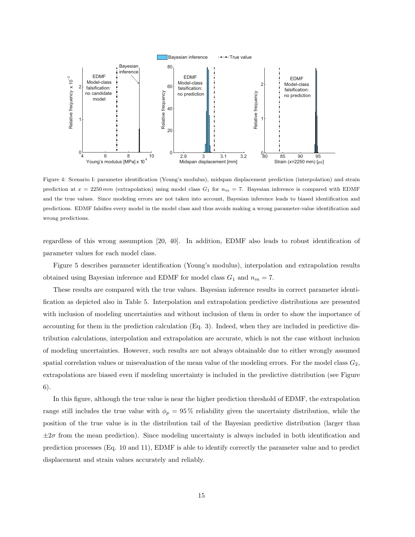

Figure 4: Scenario I: parameter identification (Young's modulus), midspan displacement prediction (interpolation) and strain prediction at  $x = 2250 \, mm$  (extrapolation) using model class  $G_1$  for  $n_m = 7$ . Bayesian inference is compared with EDMF and the true values. Since modeling errors are not taken into account, Bayesian inference leads to biased identification and predictions. EDMF falsifies every model in the model class and thus avoids making a wrong parameter-value identification and wrong predictions.

regardless of this wrong assumption [20, 40]. In addition, EDMF also leads to robust identification of parameter values for each model class.

Figure 5 describes parameter identification (Young's modulus), interpolation and extrapolation results obtained using Bayesian inference and EDMF for model class  $G_1$  and  $n_m = 7$ .

These results are compared with the true values. Bayesian inference results in correct parameter identification as depicted also in Table 5. Interpolation and extrapolation predictive distributions are presented with inclusion of modeling uncertainties and without inclusion of them in order to show the importance of accounting for them in the prediction calculation (Eq. 3). Indeed, when they are included in predictive distribution calculations, interpolation and extrapolation are accurate, which is not the case without inclusion of modeling uncertainties. However, such results are not always obtainable due to either wrongly assumed spatial correlation values or misevaluation of the mean value of the modeling errors. For the model class  $G_2$ , extrapolations are biased even if modeling uncertainty is included in the predictive distribution (see Figure 6).

In this figure, although the true value is near the higher prediction threshold of EDMF, the extrapolation range still includes the true value with  $\phi_p = 95\%$  reliability given the uncertainty distribution, while the position of the true value is in the distribution tail of the Bayesian predictive distribution (larger than  $\pm 2\sigma$  from the mean prediction). Since modeling uncertainty is always included in both identification and prediction processes (Eq. 10 and 11), EDMF is able to identify correctly the parameter value and to predict displacement and strain values accurately and reliably.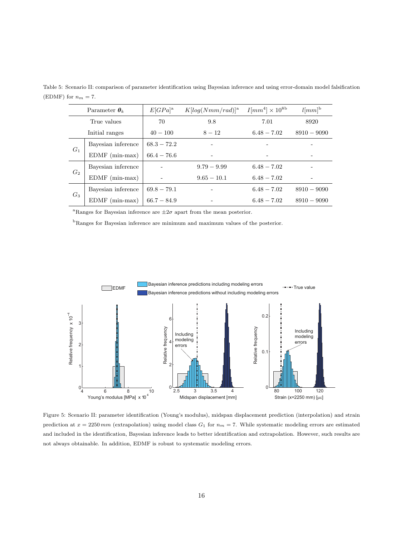|             | Parameter $\theta_k$ | $E[GPa]^a$    | $K[log(Nmm/rad)]^{\rm a}$ | $I/mm^4] \times 10^{8b}$ | $l[mm]^b$     |
|-------------|----------------------|---------------|---------------------------|--------------------------|---------------|
| True values |                      | 70<br>9.8     |                           | 7.01                     | 8920          |
|             | Initial ranges       | $40 - 100$    | $8 - 12$                  | $6.48 - 7.02$            | $8910 - 9090$ |
|             | Bayesian inference   | $68.3 - 72.2$ |                           |                          |               |
| $G_1$       | $EDMF$ (min-max)     | $66.4 - 76.6$ |                           |                          |               |
|             | Bayesian inference   |               | $9.79 - 9.99$             | $6.48 - 7.02$            |               |
| $G_2$       | $EDMF$ (min-max)     |               | $9.65 - 10.1$             | $6.48 - 7.02$            |               |
|             | Bayesian inference   | $69.8 - 79.1$ |                           | $6.48 - 7.02$            | $8910 - 9090$ |
| $G_3$       | $EDMF$ (min-max)     | $66.7 - 84.9$ |                           | $6.48 - 7.02$            | $8910 - 9090$ |

Table 5: Scenario II: comparison of parameter identification using Bayesian inference and using error-domain model falsification (EDMF) for  $n_m = 7$ .

<sup>a</sup>Ranges for Bayesian inference are  $\pm 2\sigma$  apart from the mean posterior.

 $^{\rm b}$  Ranges for Bayesian inference are minimum and maximum values of the posterior.



Figure 5: Scenario II: parameter identification (Young's modulus), midspan displacement prediction (interpolation) and strain prediction at  $x = 2250 \, mm$  (extrapolation) using model class  $G_1$  for  $n_m = 7$ . While systematic modeling errors are estimated and included in the identification, Bayesian inference leads to better identification and extrapolation. However, such results are not always obtainable. In addition, EDMF is robust to systematic modeling errors.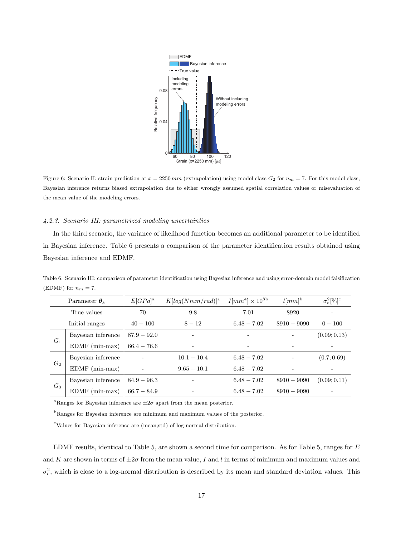

Figure 6: Scenario II: strain prediction at  $x = 2250 \, mm$  (extrapolation) using model class  $G_2$  for  $n_m = 7$ . For this model class, Bayesian inference returns biased extrapolation due to either wrongly assumed spatial correlation values or misevaluation of the mean value of the modeling errors.

# 4.2.3. Scenario III: parametrized modeling uncertainties

In the third scenario, the variance of likelihood function becomes an additional parameter to be identified in Bayesian inference. Table 6 presents a comparison of the parameter identification results obtained using Bayesian inference and EDMF.

Table 6: Scenario III: comparison of parameter identification using Bayesian inference and using error-domain model falsification (EDMF) for  $n_m = 7$ .

|                | Parameter $\theta_k$ | $E[GPa]^a$    | $K[log(Nmm/rad)]^a$ | $I/mm^4] \times 10^{8b}$ | $l/mm$ <sup>b</sup> | $\sigma_{\epsilon}^2 [\%]^{\rm c}$ |
|----------------|----------------------|---------------|---------------------|--------------------------|---------------------|------------------------------------|
| True values    |                      | 70            | 9.8                 | 7.01                     | 8920                |                                    |
|                | Initial ranges       | $40 - 100$    | $8 - 12$            | $6.48 - 7.02$            | $8910 - 9090$       | $0 - 100$                          |
|                | Bayesian inference   | $87.9 - 92.0$ |                     |                          |                     | (0.09; 0.13)                       |
| G <sub>1</sub> | $EDMF$ (min-max)     | $66.4 - 76.6$ |                     |                          |                     |                                    |
|                | Bayesian inference   |               | $10.1 - 10.4$       | $6.48 - 7.02$            |                     | (0.7; 0.69)                        |
| $G_2$          | $EDMF$ (min-max)     |               | $9.65 - 10.1$       | $6.48 - 7.02$            |                     |                                    |
|                | Bayesian inference   | $84.9 - 96.3$ |                     | $6.48 - 7.02$            | $8910 - 9090$       | (0.09; 0.11)                       |
| $G_3$          | $EDMF$ (min-max)     | $66.7 - 84.9$ |                     | $6.48 - 7.02$            | $8910 - 9090$       |                                    |

<sup>a</sup>Ranges for Bayesian inference are  $\pm 2\sigma$  apart from the mean posterior.

<sup>b</sup>Ranges for Bayesian inference are minimum and maximum values of the posterior.

<sup>c</sup>Values for Bayesian inference are (mean;std) of log-normal distribution.

EDMF results, identical to Table 5, are shown a second time for comparison. As for Table 5, ranges for E and K are shown in terms of  $\pm 2\sigma$  from the mean value, I and l in terms of minimum and maximum values and  $\sigma_{\epsilon}^2$ , which is close to a log-normal distribution is described by its mean and standard deviation values. This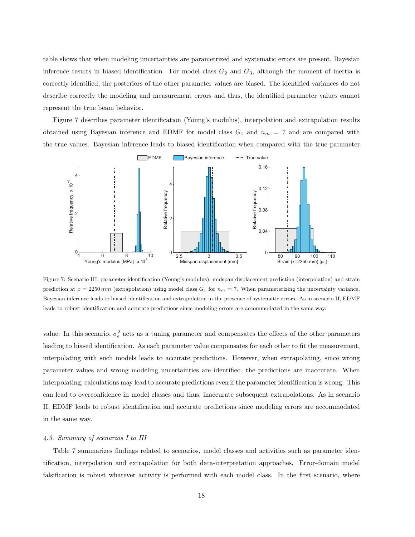table shows that when modeling uncertainties are parametrized and systematic errors are present, Bayesian inference results in biased identification. For model class  $G_2$  and  $G_3$ , although the moment of inertia is correctly identified, the posteriors of the other parameter values are biased. The identified variances do not describe correctly the modeling and measurement errors and thus, the identified parameter values cannot represent the true beam behavior.

Figure 7 describes parameter identification (Young's modulus), interpolation and extrapolation results obtained using Bayesian inference and EDMF for model class  $G_1$  and  $n_m = 7$  and are compared with the true values. Bayesian inference leads to biased identification when compared with the true parameter



Figure 7: Scenario III: parameter identification (Young's modulus), midspan displacement prediction (interpolation) and strain prediction at  $x = 2250 \, mm$  (extrapolation) using model class  $G_1$  for  $n_m = 7$ . When parameterizing the uncertainty variance, Bayesian inference leads to biased identification and extrapolation in the presence of systematic errors. As in scenario II, EDMF leads to robust identification and accurate predictions since modeling errors are accommodated in the same way.

value. In this scenario,  $\sigma_{\epsilon}^2$  acts as a tuning parameter and compensates the effects of the other parameters leading to biased identification. As each parameter value compensates for each other to fit the measurement, interpolating with such models leads to accurate predictions. However, when extrapolating, since wrong parameter values and wrong modeling uncertainties are identified, the predictions are inaccurate. When interpolating, calculations may lead to accurate predictions even if the parameter identification is wrong. This can lead to overconfidence in model classes and thus, inaccurate subsequent extrapolations. As in scenario II, EDMF leads to robust identification and accurate predictions since modeling errors are accommodated in the same way.

# 4.3. Summary of scenarios I to III

Table 7 summarizes findings related to scenarios, model classes and activities such as parameter identification, interpolation and extrapolation for both data-interpretation approaches. Error-domain model falsification is robust whatever activity is performed with each model class. In the first scenario, where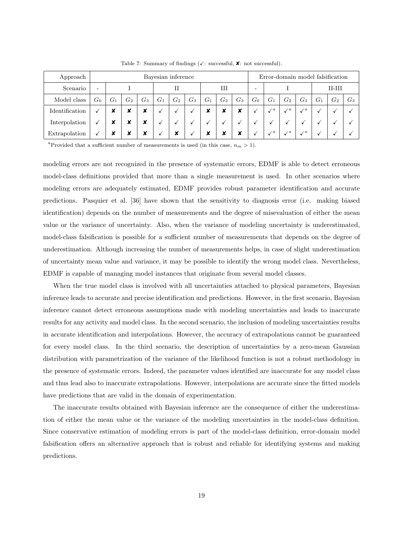| Approach       |                          |       |                                           |   | Bayesian inference |                    |       |                          |       |                    | Error-domain model falsification |                    |               |       |  |
|----------------|--------------------------|-------|-------------------------------------------|---|--------------------|--------------------|-------|--------------------------|-------|--------------------|----------------------------------|--------------------|---------------|-------|--|
| Scenario       | $\overline{\phantom{0}}$ |       |                                           |   | Ш                  |                    |       | $\overline{\phantom{0}}$ |       |                    |                                  |                    | $II$ - $III$  |       |  |
| Model class    | $G_0$                    | $G_1$ | $G_3$<br>$G_1$<br>$G_2$<br>$G_2$<br>$G_3$ |   | $G_1$              | $\scriptstyle G_2$ | $G_3$ | $G_0$                    | $G_1$ | $\scriptstyle G_2$ | $G_3$                            | $\scriptstyle G_1$ | $\, G_{2} \,$ | $G_3$ |  |
| Identification |                          | ×     | ×                                         | × |                    | v<br>₩             | x     | x                        | √     | $\sqrt{a}$         | $\angle a$                       | $\angle$ a         |               |       |  |
| Interpolation  |                          | x     | ×                                         | × |                    |                    |       |                          |       |                    |                                  |                    |               |       |  |
| Extrapolation  |                          | x     | ×                                         | × | ×                  | ×                  | ×     | ×                        |       | $\angle a$         | $\angle a$                       | ٠a                 |               |       |  |

Table 7: Summary of findings ( $\checkmark$ : successful,  $\checkmark$ : not successful).

<sup>a</sup>Provided that a sufficient number of measurements is used (in this case,  $n_m > 1$ ).

modeling errors are not recognized in the presence of systematic errors, EDMF is able to detect erroneous model-class definitions provided that more than a single measurement is used. In other scenarios where modeling errors are adequately estimated, EDMF provides robust parameter identification and accurate predictions. Pasquier et al. [36] have shown that the sensitivity to diagnosis error (i.e. making biased identification) depends on the number of measurements and the degree of misevaluation of either the mean value or the variance of uncertainty. Also, when the variance of modeling uncertainty is underestimated, model-class falsification is possible for a sufficient number of measurements that depends on the degree of underestimation. Although increasing the number of measurements helps, in case of slight underestimation of uncertainty mean value and variance, it may be possible to identify the wrong model class. Nevertheless, EDMF is capable of managing model instances that originate from several model classes.

When the true model class is involved with all uncertainties attached to physical parameters, Bayesian inference leads to accurate and precise identification and predictions. However, in the first scenario, Bayesian inference cannot detect erroneous assumptions made with modeling uncertainties and leads to inaccurate results for any activity and model class. In the second scenario, the inclusion of modeling uncertainties results in accurate identification and interpolations. However, the accuracy of extrapolations cannot be guaranteed for every model class. In the third scenario, the description of uncertainties by a zero-mean Gaussian distribution with parametrization of the variance of the likelihood function is not a robust methodology in the presence of systematic errors. Indeed, the parameter values identified are inaccurate for any model class and thus lead also to inaccurate extrapolations. However, interpolations are accurate since the fitted models have predictions that are valid in the domain of experimentation.

The inaccurate results obtained with Bayesian inference are the consequence of either the underestimation of either the mean value or the variance of the modeling uncertainties in the model-class definition. Since conservative estimation of modeling errors is part of the model-class definition, error-domain model falsification offers an alternative approach that is robust and reliable for identifying systems and making predictions.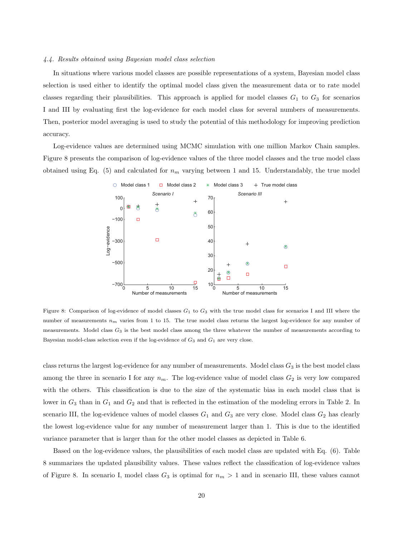#### 4.4. Results obtained using Bayesian model class selection

In situations where various model classes are possible representations of a system, Bayesian model class selection is used either to identify the optimal model class given the measurement data or to rate model classes regarding their plausibilities. This approach is applied for model classes  $G_1$  to  $G_3$  for scenarios I and III by evaluating first the log-evidence for each model class for several numbers of measurements. Then, posterior model averaging is used to study the potential of this methodology for improving prediction accuracy.

Log-evidence values are determined using MCMC simulation with one million Markov Chain samples. Figure 8 presents the comparison of log-evidence values of the three model classes and the true model class obtained using Eq. (5) and calculated for  $n_m$  varying between 1 and 15. Understandably, the true model



Figure 8: Comparison of log-evidence of model classes  $G_1$  to  $G_3$  with the true model class for scenarios I and III where the number of measurements  $n_m$  varies from 1 to 15. The true model class returns the largest log-evidence for any number of measurements. Model class  $G_3$  is the best model class among the three whatever the number of measurements according to Bayesian model-class selection even if the log-evidence of  $G_3$  and  $G_1$  are very close.

class returns the largest log-evidence for any number of measurements. Model class  $G_3$  is the best model class among the three in scenario I for any  $n_m$ . The log-evidence value of model class  $G_2$  is very low compared with the others. This classification is due to the size of the systematic bias in each model class that is lower in  $G_3$  than in  $G_1$  and  $G_2$  and that is reflected in the estimation of the modeling errors in Table 2. In scenario III, the log-evidence values of model classes  $G_1$  and  $G_3$  are very close. Model class  $G_2$  has clearly the lowest log-evidence value for any number of measurement larger than 1. This is due to the identified variance parameter that is larger than for the other model classes as depicted in Table 6.

Based on the log-evidence values, the plausibilities of each model class are updated with Eq. (6). Table 8 summarizes the updated plausibility values. These values reflect the classification of log-evidence values of Figure 8. In scenario I, model class  $G_3$  is optimal for  $n_m > 1$  and in scenario III, these values cannot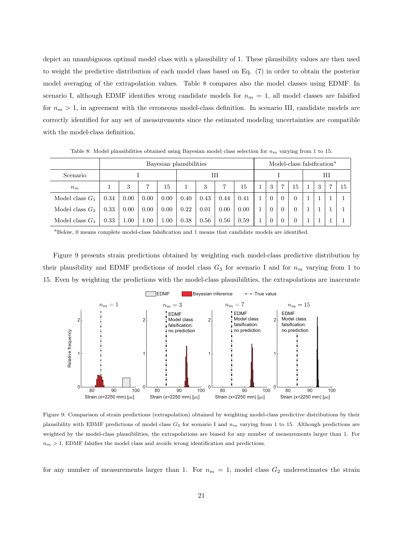depict an unambiguous optimal model class with a plausibility of 1. These plausibility values are then used to weight the predictive distribution of each model class based on Eq. (7) in order to obtain the posterior model averaging of the extrapolation values. Table 8 compares also the model classes using EDMF. In scenario I, although EDMF identifies wrong candidate models for  $n_m = 1$ , all model classes are falsified for  $n_m > 1$ , in agreement with the erroneous model-class definition. In scenario III, candidate models are correctly identified for any set of measurements since the estimated modeling uncertainties are compatible with the model-class definition.

|                   |      |      |      |      | Model-class falsification <sup>a</sup> |      |      |      |                |                |                |   |   |    |
|-------------------|------|------|------|------|----------------------------------------|------|------|------|----------------|----------------|----------------|---|---|----|
| Scenario          |      |      |      |      |                                        | Ш    |      |      |                |                |                |   | Ш |    |
| $n_m$             |      | 3    |      | 15   |                                        | 3    |      | 15   | 3              | −              | 15             | 3 |   | 15 |
| Model class $G_1$ | 0.34 | 0.00 | 0.00 | 0.00 | 0.40                                   | 0.43 | 0.44 | 0.41 | $\overline{0}$ | $\overline{0}$ | $\overline{0}$ |   |   |    |
| Model class $G_2$ | 0.33 | 0.00 | 0.00 | 0.00 | 0.22                                   | 0.01 | 0.00 | 0.00 | $\overline{0}$ | $\overline{0}$ | $\overline{0}$ |   |   |    |
| Model class $G_3$ | 0.33 | 1.00 | 1.00 | 1.00 | 0.38                                   | 0.56 | 0.56 | 0.59 | $\overline{0}$ | $\overline{0}$ | -0             |   |   |    |

Table 8: Model plausibilities obtained using Bayesian model class selection for  $n_m$  varying from 1 to 15.

 $a<sup>a</sup>$ Below, 0 means complete model-class falsification and 1 means that candidate models are identified.

Figure 9 presents strain predictions obtained by weighting each model-class predictive distribution by their plausibility and EDMF predictions of model class  $G_3$  for scenario I and for  $n_m$  varying from 1 to 15. Even by weighting the predictions with the model-class plausibilities, the extrapolations are inaccurate



Figure 9: Comparison of strain predictions (extrapolation) obtained by weighting model-class predictive distributions by their plausibility with EDMF predictions of model class  $G_3$  for scenario I and  $n_m$  varying from 1 to 15. Although predictions are weighted by the model-class plausibilities, the extrapolations are biased for any number of measurements larger than 1. For  $n_m > 1$ , EDMF falsifies the model class and avoids wrong identification and predictions.

for any number of measurements larger than 1. For  $n_m = 1$ , model class  $G_2$  underestimates the strain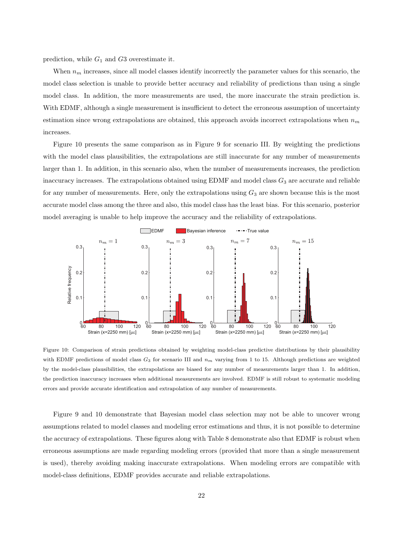prediction, while  $G_1$  and  $G_3$  overestimate it.

When  $n_m$  increases, since all model classes identify incorrectly the parameter values for this scenario, the model class selection is unable to provide better accuracy and reliability of predictions than using a single model class. In addition, the more measurements are used, the more inaccurate the strain prediction is. With EDMF, although a single measurement is insufficient to detect the erroneous assumption of uncertainty estimation since wrong extrapolations are obtained, this approach avoids incorrect extrapolations when  $n_m$ increases.

Figure 10 presents the same comparison as in Figure 9 for scenario III. By weighting the predictions with the model class plausibilities, the extrapolations are still inaccurate for any number of measurements larger than 1. In addition, in this scenario also, when the number of measurements increases, the prediction inaccuracy increases. The extrapolations obtained using EDMF and model class  $G_3$  are accurate and reliable for any number of measurements. Here, only the extrapolations using  $G_3$  are shown because this is the most accurate model class among the three and also, this model class has the least bias. For this scenario, posterior model averaging is unable to help improve the accuracy and the reliability of extrapolations.



Figure 10: Comparison of strain predictions obtained by weighting model-class predictive distributions by their plausibility with EDMF predictions of model class  $G_3$  for scenario III and  $n_m$  varying from 1 to 15. Although predictions are weighted by the model-class plausibilities, the extrapolations are biased for any number of measurements larger than 1. In addition, the prediction inaccuracy increases when additional measurements are involved. EDMF is still robust to systematic modeling errors and provide accurate identification and extrapolation of any number of measurements.

Figure 9 and 10 demonstrate that Bayesian model class selection may not be able to uncover wrong assumptions related to model classes and modeling error estimations and thus, it is not possible to determine the accuracy of extrapolations. These figures along with Table 8 demonstrate also that EDMF is robust when erroneous assumptions are made regarding modeling errors (provided that more than a single measurement is used), thereby avoiding making inaccurate extrapolations. When modeling errors are compatible with model-class definitions, EDMF provides accurate and reliable extrapolations.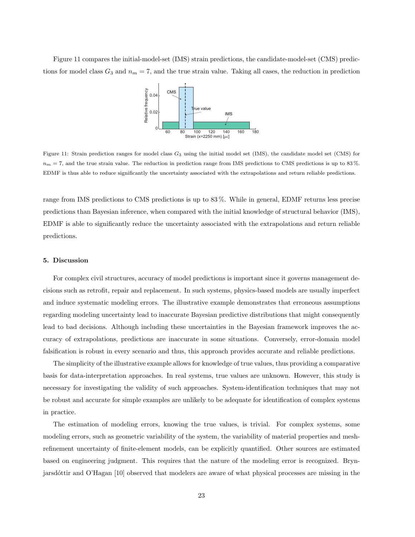Figure 11 compares the initial-model-set (IMS) strain predictions, the candidate-model-set (CMS) predictions for model class  $G_3$  and  $n_m = 7$ , and the true strain value. Taking all cases, the reduction in prediction



Figure 11: Strain prediction ranges for model class  $G_3$  using the initial model set (IMS), the candidate model set (CMS) for  $n_m = 7$ , and the true strain value. The reduction in prediction range from IMS predictions to CMS predictions is up to 83%. EDMF is thus able to reduce significantly the uncertainty associated with the extrapolations and return reliable predictions.

range from IMS predictions to CMS predictions is up to 83 %. While in general, EDMF returns less precise predictions than Bayesian inference, when compared with the initial knowledge of structural behavior (IMS), EDMF is able to significantly reduce the uncertainty associated with the extrapolations and return reliable predictions.

### 5. Discussion

For complex civil structures, accuracy of model predictions is important since it governs management decisions such as retrofit, repair and replacement. In such systems, physics-based models are usually imperfect and induce systematic modeling errors. The illustrative example demonstrates that erroneous assumptions regarding modeling uncertainty lead to inaccurate Bayesian predictive distributions that might consequently lead to bad decisions. Although including these uncertainties in the Bayesian framework improves the accuracy of extrapolations, predictions are inaccurate in some situations. Conversely, error-domain model falsification is robust in every scenario and thus, this approach provides accurate and reliable predictions.

The simplicity of the illustrative example allows for knowledge of true values, thus providing a comparative basis for data-interpretation approaches. In real systems, true values are unknown. However, this study is necessary for investigating the validity of such approaches. System-identification techniques that may not be robust and accurate for simple examples are unlikely to be adequate for identification of complex systems in practice.

The estimation of modeling errors, knowing the true values, is trivial. For complex systems, some modeling errors, such as geometric variability of the system, the variability of material properties and meshrefinement uncertainty of finite-element models, can be explicitly quantified. Other sources are estimated based on engineering judgment. This requires that the nature of the modeling error is recognized. Brynjarsdóttir and O'Hagan [10] observed that modelers are aware of what physical processes are missing in the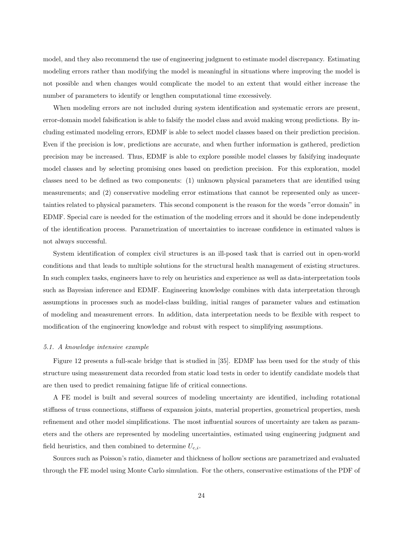model, and they also recommend the use of engineering judgment to estimate model discrepancy. Estimating modeling errors rather than modifying the model is meaningful in situations where improving the model is not possible and when changes would complicate the model to an extent that would either increase the number of parameters to identify or lengthen computational time excessively.

When modeling errors are not included during system identification and systematic errors are present, error-domain model falsification is able to falsify the model class and avoid making wrong predictions. By including estimated modeling errors, EDMF is able to select model classes based on their prediction precision. Even if the precision is low, predictions are accurate, and when further information is gathered, prediction precision may be increased. Thus, EDMF is able to explore possible model classes by falsifying inadequate model classes and by selecting promising ones based on prediction precision. For this exploration, model classes need to be defined as two components: (1) unknown physical parameters that are identified using measurements; and (2) conservative modeling error estimations that cannot be represented only as uncertainties related to physical parameters. This second component is the reason for the words "error domain" in EDMF. Special care is needed for the estimation of the modeling errors and it should be done independently of the identification process. Parametrization of uncertainties to increase confidence in estimated values is not always successful.

System identification of complex civil structures is an ill-posed task that is carried out in open-world conditions and that leads to multiple solutions for the structural health management of existing structures. In such complex tasks, engineers have to rely on heuristics and experience as well as data-interpretation tools such as Bayesian inference and EDMF. Engineering knowledge combines with data interpretation through assumptions in processes such as model-class building, initial ranges of parameter values and estimation of modeling and measurement errors. In addition, data interpretation needs to be flexible with respect to modification of the engineering knowledge and robust with respect to simplifying assumptions.

## 5.1. A knowledge intensive example

Figure 12 presents a full-scale bridge that is studied in [35]. EDMF has been used for the study of this structure using measurement data recorded from static load tests in order to identify candidate models that are then used to predict remaining fatigue life of critical connections.

A FE model is built and several sources of modeling uncertainty are identified, including rotational stiffness of truss connections, stiffness of expansion joints, material properties, geometrical properties, mesh refinement and other model simplifications. The most influential sources of uncertainty are taken as parameters and the others are represented by modeling uncertainties, estimated using engineering judgment and field heuristics, and then combined to determine  $U_{c,i}$ .

Sources such as Poisson's ratio, diameter and thickness of hollow sections are parametrized and evaluated through the FE model using Monte Carlo simulation. For the others, conservative estimations of the PDF of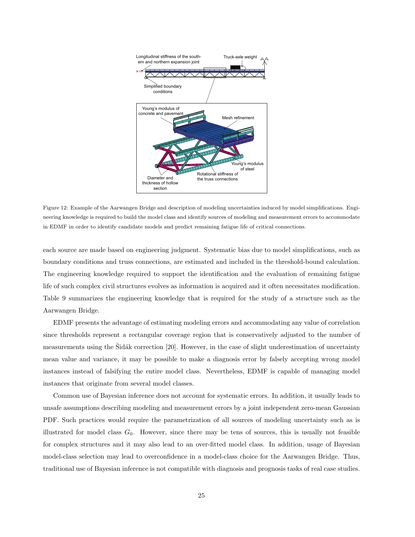

Figure 12: Example of the Aarwangen Bridge and description of modeling uncertainties induced by model simplifications. Engineering knowledge is required to build the model class and identify sources of modeling and measurement errors to accommodate in EDMF in order to identify candidate models and predict remaining fatigue life of critical connections.

each source are made based on engineering judgment. Systematic bias due to model simplifications, such as boundary conditions and truss connections, are estimated and included in the threshold-bound calculation. The engineering knowledge required to support the identification and the evaluation of remaining fatigue life of such complex civil structures evolves as information is acquired and it often necessitates modification. Table 9 summarizes the engineering knowledge that is required for the study of a structure such as the Aarwangen Bridge.

EDMF presents the advantage of estimating modeling errors and accommodating any value of correlation since thresholds represent a rectangular coverage region that is conservatively adjusted to the number of measurements using the Sidák correction [20]. However, in the case of slight underestimation of uncertainty mean value and variance, it may be possible to make a diagnosis error by falsely accepting wrong model instances instead of falsifying the entire model class. Nevertheless, EDMF is capable of managing model instances that originate from several model classes.

Common use of Bayesian inference does not account for systematic errors. In addition, it usually leads to unsafe assumptions describing modeling and measurement errors by a joint independent zero-mean Gaussian PDF. Such practices would require the parametrization of all sources of modeling uncertainty such as is illustrated for model class  $G_0$ . However, since there may be tens of sources, this is usually not feasible for complex structures and it may also lead to an over-fitted model class. In addition, usage of Bayesian model-class selection may lead to overconfidence in a model-class choice for the Aarwangen Bridge. Thus, traditional use of Bayesian inference is not compatible with diagnosis and prognosis tasks of real case studies.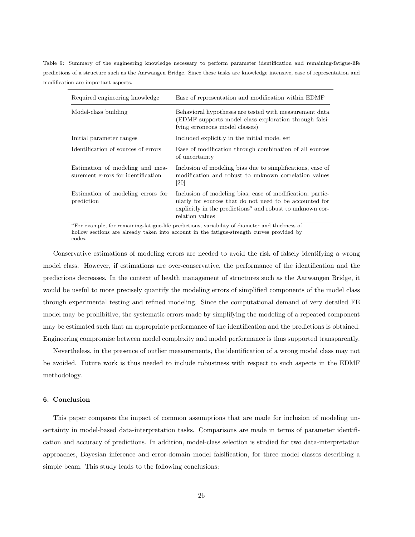Table 9: Summary of the engineering knowledge necessary to perform parameter identification and remaining-fatigue-life predictions of a structure such as the Aarwangen Bridge. Since these tasks are knowledge intensive, ease of representation and modification are important aspects.

| Required engineering knowledge                                        | Ease of representation and modification within EDMF                                                                                                                                                              |
|-----------------------------------------------------------------------|------------------------------------------------------------------------------------------------------------------------------------------------------------------------------------------------------------------|
| Model-class building                                                  | Behavioral hypotheses are tested with measurement data<br>(EDMF supports model class exploration through falsi-<br>fying erroneous model classes)                                                                |
| Initial parameter ranges                                              | Included explicitly in the initial model set                                                                                                                                                                     |
| Identification of sources of errors                                   | Ease of modification through combination of all sources<br>of uncertainty                                                                                                                                        |
| Estimation of modeling and mea-<br>surement errors for identification | Inclusion of modeling bias due to simplifications, ease of<br>modification and robust to unknown correlation values<br>[20]                                                                                      |
| Estimation of modeling errors for<br>prediction                       | Inclusion of modeling bias, ease of modification, partic-<br>ularly for sources that do not need to be accounted for<br>explicitly in the predictions <sup>a</sup> and robust to unknown cor-<br>relation values |

<sup>a</sup>For example, for remaining-fatigue-life predictions, variability of diameter and thickness of hollow sections are already taken into account in the fatigue-strength curves provided by codes.

Conservative estimations of modeling errors are needed to avoid the risk of falsely identifying a wrong model class. However, if estimations are over-conservative, the performance of the identification and the predictions decreases. In the context of health management of structures such as the Aarwangen Bridge, it would be useful to more precisely quantify the modeling errors of simplified components of the model class through experimental testing and refined modeling. Since the computational demand of very detailed FE model may be prohibitive, the systematic errors made by simplifying the modeling of a repeated component may be estimated such that an appropriate performance of the identification and the predictions is obtained. Engineering compromise between model complexity and model performance is thus supported transparently.

Nevertheless, in the presence of outlier measurements, the identification of a wrong model class may not be avoided. Future work is thus needed to include robustness with respect to such aspects in the EDMF methodology.

#### 6. Conclusion

This paper compares the impact of common assumptions that are made for inclusion of modeling uncertainty in model-based data-interpretation tasks. Comparisons are made in terms of parameter identification and accuracy of predictions. In addition, model-class selection is studied for two data-interpretation approaches, Bayesian inference and error-domain model falsification, for three model classes describing a simple beam. This study leads to the following conclusions: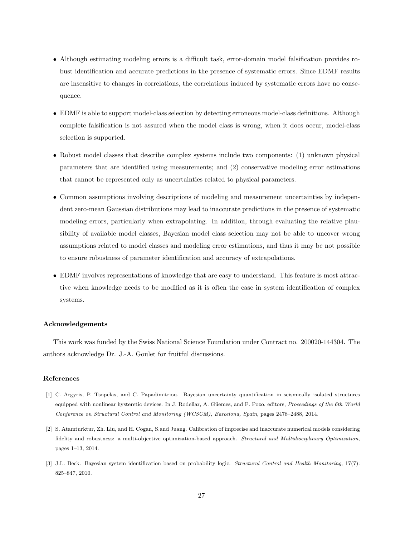- Although estimating modeling errors is a difficult task, error-domain model falsification provides robust identification and accurate predictions in the presence of systematic errors. Since EDMF results are insensitive to changes in correlations, the correlations induced by systematic errors have no consequence.
- EDMF is able to support model-class selection by detecting erroneous model-class definitions. Although complete falsification is not assured when the model class is wrong, when it does occur, model-class selection is supported.
- Robust model classes that describe complex systems include two components: (1) unknown physical parameters that are identified using measurements; and (2) conservative modeling error estimations that cannot be represented only as uncertainties related to physical parameters.
- Common assumptions involving descriptions of modeling and measurement uncertainties by independent zero-mean Gaussian distributions may lead to inaccurate predictions in the presence of systematic modeling errors, particularly when extrapolating. In addition, through evaluating the relative plausibility of available model classes, Bayesian model class selection may not be able to uncover wrong assumptions related to model classes and modeling error estimations, and thus it may be not possible to ensure robustness of parameter identification and accuracy of extrapolations.
- EDMF involves representations of knowledge that are easy to understand. This feature is most attractive when knowledge needs to be modified as it is often the case in system identification of complex systems.

#### Acknowledgements

This work was funded by the Swiss National Science Foundation under Contract no. 200020-144304. The authors acknowledge Dr. J.-A. Goulet for fruitful discussions.

#### References

- [1] C. Argyris, P. Tsopelas, and C. Papadimitriou. Bayesian uncertainty quantification in seismically isolated structures equipped with nonlinear hysteretic devices. In J. Rodellar, A. Güemes, and F. Pozo, editors, Proceedings of the 6th World Conference on Structural Control and Monitoring (WCSCM), Barcelona, Spain, pages 2478–2488, 2014.
- [2] S. Atamturktur, Zh. Liu, and H. Cogan, S.and Juang. Calibration of imprecise and inaccurate numerical models considering fidelity and robustness: a multi-objective optimization-based approach. Structural and Multidisciplinary Optimization, pages 1–13, 2014.
- [3] J.L. Beck. Bayesian system identification based on probability logic. Structural Control and Health Monitoring, 17(7): 825–847, 2010.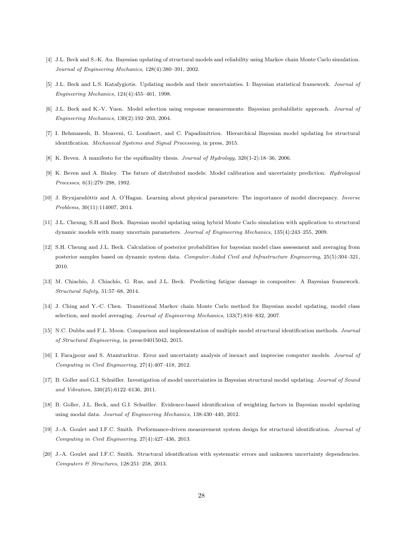- [4] J.L. Beck and S.-K. Au. Bayesian updating of structural models and reliability using Markov chain Monte Carlo simulation. Journal of Engineering Mechanics, 128(4):380–391, 2002.
- [5] J.L. Beck and L.S. Katafygiotis. Updating models and their uncertainties. I: Bayesian statistical framework. Journal of Engineering Mechanics, 124(4):455–461, 1998.
- [6] J.L. Beck and K.-V. Yuen. Model selection using response measurements: Bayesian probabilistic approach. Journal of Engineering Mechanics, 130(2):192–203, 2004.
- [7] I. Behmanesh, B. Moaveni, G. Lombaert, and C. Papadimitriou. Hierarchical Bayesian model updating for structural identification. Mechanical Systems and Signal Processing, in press, 2015.
- [8] K. Beven. A manifesto for the equifinality thesis. Journal of Hydrology, 320(1-2):18–36, 2006.
- [9] K. Beven and A. Binley. The future of distributed models: Model calibration and uncertainty prediction. Hydrological Processes, 6(3):279–298, 1992.
- [10] J. Brynjarsdóttir and A. O'Hagan. Learning about physical parameters: The importance of model discrepancy. Inverse Problems, 30(11):114007, 2014.
- [11] J.L. Cheung, S.H.and Beck. Bayesian model updating using hybrid Monte Carlo simulation with application to structural dynamic models with many uncertain parameters. Journal of Engineering Mechanics, 135(4):243–255, 2009.
- [12] S.H. Cheung and J.L. Beck. Calculation of posterior probabilities for bayesian model class assessment and averaging from posterior samples based on dynamic system data. Computer-Aided Civil and Infrastructure Engineering, 25(5):304-321, 2010.
- [13] M. Chiachío, J. Chiachío, G. Rus, and J.L. Beck. Predicting fatigue damage in composites: A Bayesian framework. Structural Safety, 51:57–68, 2014.
- [14] J. Ching and Y.-C. Chen. Transitional Markov chain Monte Carlo method for Bayesian model updating, model class selection, and model averaging. Journal of Engineering Mechanics, 133(7):816–832, 2007.
- [15] N.C. Dubbs and F.L. Moon. Comparison and implementation of multiple model structural identification methods. Journal of Structural Engineering, in press:04015042, 2015.
- [16] I. Farajpour and S. Atamturktur. Error and uncertainty analysis of inexact and imprecise computer models. Journal of Computing in Civil Engineering, 27(4):407–418, 2012.
- [17] B. Goller and G.I. Schuëller. Investigation of model uncertainties in Bayesian structural model updating. Journal of Sound and Vibration, 330(25):6122–6136, 2011.
- [18] B. Goller, J.L. Beck, and G.I. Schuëller. Evidence-based identification of weighting factors in Bayesian model updating using modal data. Journal of Engineering Mechanics, 138:430–440, 2012.
- [19] J.-A. Goulet and I.F.C. Smith. Performance-driven measurement system design for structural identification. Journal of Computing in Civil Engineering, 27(4):427–436, 2013.
- [20] J.-A. Goulet and I.F.C. Smith. Structural identification with systematic errors and unknown uncertainty dependencies. Computers & Structures, 128:251–258, 2013.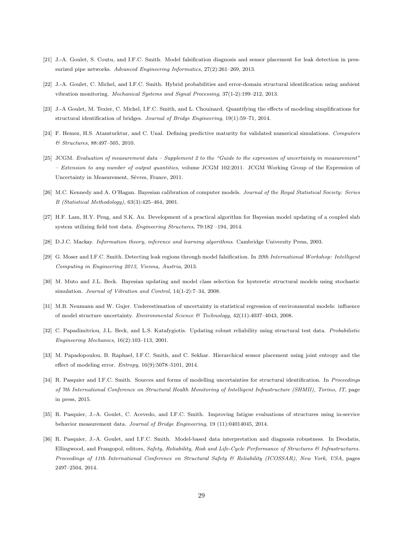- [21] J.-A. Goulet, S. Coutu, and I.F.C. Smith. Model falsification diagnosis and sensor placement for leak detection in pressurized pipe networks. Advanced Engineering Informatics, 27(2):261–269, 2013.
- [22] J.-A. Goulet, C. Michel, and I.F.C. Smith. Hybrid probabilities and error-domain structural identification using ambient vibration monitoring. Mechanical Systems and Signal Processing, 37(1-2):199–212, 2013.
- [23] J.-A Goulet, M. Texier, C. Michel, I.F.C. Smith, and L. Chouinard. Quantifying the effects of modeling simplifications for structural identification of bridges. Journal of Bridge Engineering, 19(1):59–71, 2014.
- [24] F. Hemez, H.S. Atamturktur, and C. Unal. Defining predictive maturity for validated numerical simulations. Computers & Structures, 88:497–505, 2010.
- [25] JCGM. Evaluation of measurement data Supplement 2 to the "Guide to the expression of uncertainty in measurement" – Extension to any number of output quantities, volume JCGM 102:2011. JCGM Working Group of the Expression of Uncertainty in Measurement, Sévres, France, 2011.
- [26] M.C. Kennedy and A. O'Hagan. Bayesian calibration of computer models. Journal of the Royal Statistical Society: Series B (Statistical Methodology), 63(3):425–464, 2001.
- [27] H.F. Lam, H.Y. Peng, and S.K. Au. Development of a practical algorithm for Bayesian model updating of a coupled slab system utilizing field test data. Engineering Structures, 79:182 –194, 2014.
- [28] D.J.C. Mackay. *Information theory, inference and learning algorithms*. Cambridge University Press, 2003.
- [29] G. Moser and I.F.C. Smith. Detecting leak regions through model falsification. In 20th International Workshop: Intelligent Computing in Engineering 2013, Vienna, Austria, 2013.
- [30] M. Muto and J.L. Beck. Bayesian updating and model class selection for hysteretic structural models using stochastic simulation. Journal of Vibration and Control, 14(1-2):7–34, 2008.
- [31] M.B. Neumann and W. Gujer. Underestimation of uncertainty in statistical regression of environmental models: influence of model structure uncertainty. Environmental Science & Technology, 42(11):4037–4043, 2008.
- [32] C. Papadimitriou, J.L. Beck, and L.S. Katafygiotis. Updating robust reliability using structural test data. Probabilistic Engineering Mechanics, 16(2):103–113, 2001.
- [33] M. Papadopoulou, B. Raphael, I.F.C. Smith, and C. Sekhar. Hierarchical sensor placement using joint entropy and the effect of modeling error. Entropy, 16(9):5078–5101, 2014.
- [34] R. Pasquier and I.F.C. Smith. Sources and forms of modelling uncertainties for structural identification. In Proceedings of 7th International Conference on Structural Health Monitoring of Intelligent Infrastructure (SHMII), Torino, IT, page in press, 2015.
- [35] R. Pasquier, J.-A. Goulet, C. Acevedo, and I.F.C. Smith. Improving fatigue evaluations of structures using in-service behavior measurement data. Journal of Bridge Engineering, 19 (11):04014045, 2014.
- [36] R. Pasquier, J.-A. Goulet, and I.F.C. Smith. Model-based data interpretation and diagnosis robustness. In Deodatis, Ellingwood, and Frangopol, editors, Safety, Reliability, Risk and Life-Cycle Performance of Structures & Infrastructures. Proceedings of 11th International Conference on Structural Safety & Reliability (ICOSSAR), New York, USA, pages 2497–2504, 2014.